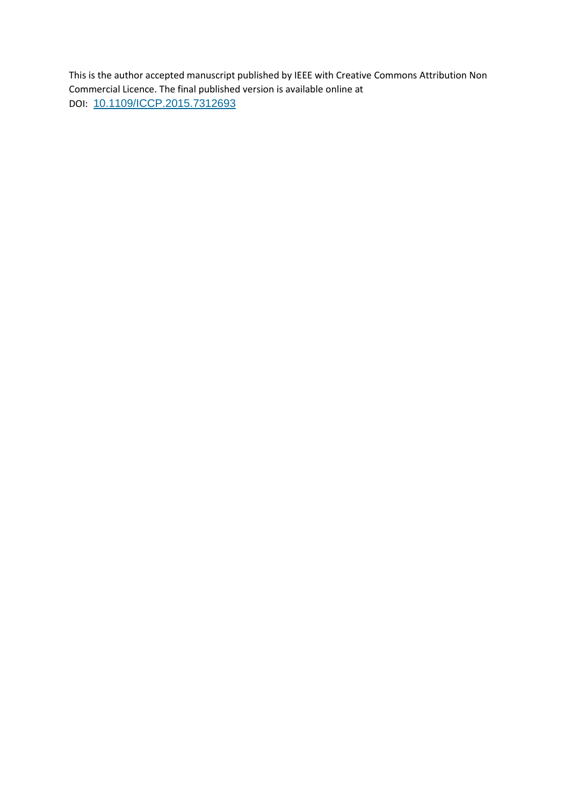This is the author accepted manuscript published by IEEE with Creative Commons Attribution Non Commercial Licence. The final published version is available online at DOI: [10.1109/ICCP.2015.7312693](https://doi.org/10.1109/ICCP.2015.7312693)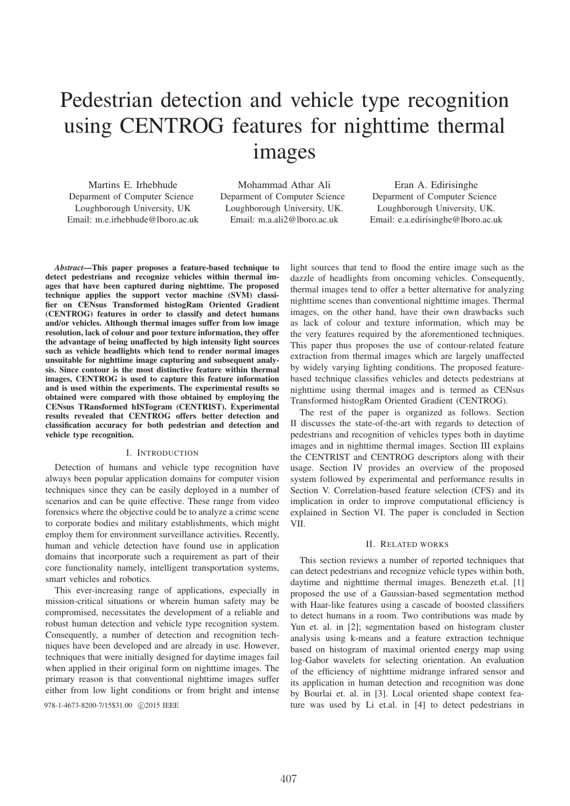# Pedestrian detection and vehicle type recognition using CENTROG features for nighttime thermal images

Martins E. Irhebhude Deparment of Computer Science Loughborough University, UK Email: m.e.irhebhude@lboro.ac.uk

Mohammad Athar Ali Deparment of Computer Science Loughborough University, UK. Email: m.a.ali2@lboro.ac.uk

Eran A. Edirisinghe Deparment of Computer Science Loughborough University, UK. Email: e.a.edirisinghe@lboro.ac.uk

*Abstract*—This paper proposes a feature-based technique to detect pedestrians and recognize vehicles within thermal images that have been captured during nighttime. The proposed technique applies the support vector machine (SVM) classifier on CENsus Transformed histogRam Oriented Gradient (CENTROG) features in order to classify and detect humans and/or vehicles. Although thermal images suffer from low image resolution, lack of colour and poor texture information, they offer the advantage of being unaffected by high intensity light sources such as vehicle headlights which tend to render normal images unsuitable for nighttime image capturing and subsequent analysis. Since contour is the most distinctive feature within thermal images, CENTROG is used to capture this feature information and is used within the experiments. The experimental results so obtained were compared with those obtained by employing the CENsus TRansformed hISTogram (CENTRIST). Experimental results revealed that CENTROG offers better detection and classification accuracy for both pedestrian and detection and vehicle type recognition.

#### I. INTRODUCTION

Detection of humans and vehicle type recognition have always been popular application domains for computer vision techniques since they can be easily deployed in a number of scenarios and can be quite effective. These range from video forensics where the objective could be to analyze a crime scene to corporate bodies and military establishments, which might employ them for environment surveillance activities. Recently, human and vehicle detection have found use in application domains that incorporate such a requirement as part of their core functionality namely, intelligent transportation systems, smart vehicles and robotics.

This ever-increasing range of applications, especially in mission-critical situations or wherein human safety may be compromised, necessitates the development of a reliable and robust human detection and vehicle type recognition system. Consequently, a number of detection and recognition techniques have been developed and are already in use. However, techniques that were initially designed for daytime images fail when applied in their original form on nighttime images. The primary reason is that conventional nighttime images suffer either from low light conditions or from bright and intense

978-1-4673-8200-7/15\$31.00  $\odot$ 2015 IEEE

light sources that tend to flood the entire image such as the dazzle of headlights from oncoming vehicles. Consequently, thermal images tend to offer a better alternative for analyzing nighttime scenes than conventional nighttime images. Thermal images, on the other hand, have their own drawbacks such as lack of colour and texture information, which may be the very features required by the aforementioned techniques. This paper thus proposes the use of contour-related feature extraction from thermal images which are largely unaffected by widely varying lighting conditions. The proposed featurebased technique classifies vehicles and detects pedestrians at nighttime using thermal images and is termed as CENsus Transformed histogRam Oriented Gradient (CENTROG).

The rest of the paper is organized as follows. Section II discusses the state-of-the-art with regards to detection of pedestrians and recognition of vehicles types both in daytime images and in nighttime thermal images. Section III explains the CENTRIST and CENTROG descriptors along with their usage. Section IV provides an overview of the proposed system followed by experimental and performance results in Section V. Correlation-based feature selection (CFS) and its implication in order to improve computational efficiency is explained in Section VI. The paper is concluded in Section VII.

#### II. RELATED WORKS

This section reviews a number of reported techniques that can detect pedestrians and recognize vehicle types within both, daytime and nighttime thermal images. Benezeth et.al. [1] proposed the use of a Gaussian-based segmentation method with Haar-like features using a cascade of boosted classifiers to detect humans in a room. Two contributions was made by Yun et. al. in [2]; segmentation based on histogram cluster analysis using k-means and a feature extraction technique based on histogram of maximal oriented energy map using log-Gabor wavelets for selecting orientation. An evaluation of the efficiency of nighttime midrange infrared sensor and its application in human detection and recognition was done by Bourlai et. al. in [3]. Local oriented shape context feature was used by Li et.al. in [4] to detect pedestrians in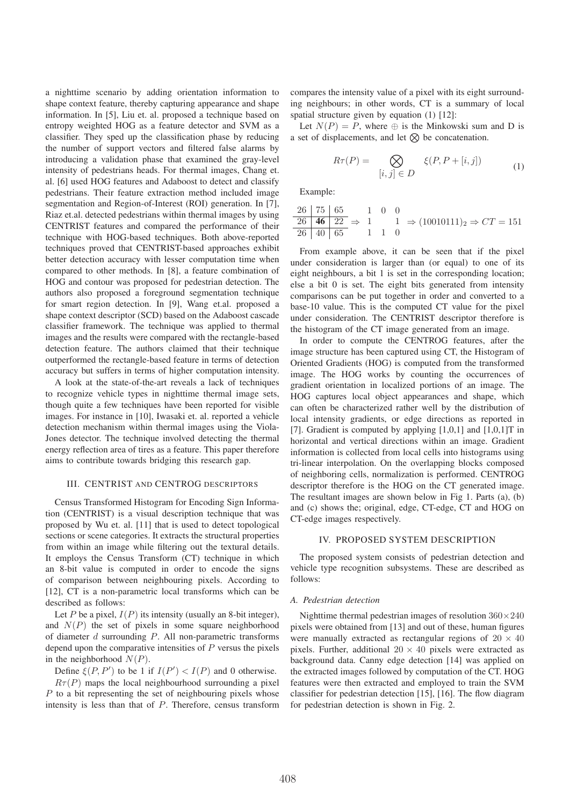a nighttime scenario by adding orientation information to shape context feature, thereby capturing appearance and shape information. In [5], Liu et. al. proposed a technique based on entropy weighted HOG as a feature detector and SVM as a classifier. They sped up the classification phase by reducing the number of support vectors and filtered false alarms by introducing a validation phase that examined the gray-level intensity of pedestrians heads. For thermal images, Chang et. al. [6] used HOG features and Adaboost to detect and classify pedestrians. Their feature extraction method included image segmentation and Region-of-Interest (ROI) generation. In [7], Riaz et.al. detected pedestrians within thermal images by using CENTRIST features and compared the performance of their technique with HOG-based techniques. Both above-reported techniques proved that CENTRIST-based approaches exhibit better detection accuracy with lesser computation time when compared to other methods. In [8], a feature combination of HOG and contour was proposed for pedestrian detection. The authors also proposed a foreground segmentation technique for smart region detection. In [9], Wang et.al. proposed a shape context descriptor (SCD) based on the Adaboost cascade classifier framework. The technique was applied to thermal images and the results were compared with the rectangle-based detection feature. The authors claimed that their technique outperformed the rectangle-based feature in terms of detection accuracy but suffers in terms of higher computation intensity.

A look at the state-of-the-art reveals a lack of techniques to recognize vehicle types in nighttime thermal image sets, though quite a few techniques have been reported for visible images. For instance in [10], Iwasaki et. al. reported a vehicle detection mechanism within thermal images using the Viola-Jones detector. The technique involved detecting the thermal energy reflection area of tires as a feature. This paper therefore aims to contribute towards bridging this research gap.

## III. CENTRIST AND CENTROG DESCRIPTORS

Census Transformed Histogram for Encoding Sign Information (CENTRIST) is a visual description technique that was proposed by Wu et. al. [11] that is used to detect topological sections or scene categories. It extracts the structural properties from within an image while filtering out the textural details. It employs the Census Transform (CT) technique in which an 8-bit value is computed in order to encode the signs of comparison between neighbouring pixels. According to [12], CT is a non-parametric local transforms which can be described as follows:

Let P be a pixel,  $I(P)$  its intensity (usually an 8-bit integer), and  $N(P)$  the set of pixels in some square neighborhood of diameter  $d$  surrounding  $P$ . All non-parametric transforms depend upon the comparative intensities of  $P$  versus the pixels in the neighborhood  $N(P)$ .

Define  $\xi(P, P')$  to be 1 if  $I(P') < I(P)$  and 0 otherwise.

 $R\tau(P)$  maps the local neighbourhood surrounding a pixel  $P$  to a bit representing the set of neighbouring pixels whose intensity is less than that of P. Therefore, census transform

compares the intensity value of a pixel with its eight surrounding neighbours; in other words, CT is a summary of local spatial structure given by equation (1) [12]:

Let  $N(P) = P$ , where  $\oplus$  is the Minkowski sum and D is a set of displacements, and let  $\otimes$  be concatenation.

$$
R\tau(P) = \bigotimes_{[i,j] \in D} \xi(P, P + [i,j]) \tag{1}
$$

Example:

$$
\frac{26}{26} \quad \frac{75}{46} \quad \frac{65}{22} \Rightarrow \quad \frac{1}{1} \quad \frac{0}{1} \Rightarrow (10010111)_2 \Rightarrow CT = 151
$$
  

$$
\frac{26}{26} \quad \frac{40}{40} \quad \frac{65}{65} \quad \frac{1}{1} \quad \frac{1}{1} \quad \frac{1}{0}
$$

From example above, it can be seen that if the pixel under consideration is larger than (or equal) to one of its eight neighbours, a bit 1 is set in the corresponding location; else a bit 0 is set. The eight bits generated from intensity comparisons can be put together in order and converted to a base-10 value. This is the computed CT value for the pixel under consideration. The CENTRIST descriptor therefore is the histogram of the CT image generated from an image.

In order to compute the CENTROG features, after the image structure has been captured using CT, the Histogram of Oriented Gradients (HOG) is computed from the transformed image. The HOG works by counting the occurrences of gradient orientation in localized portions of an image. The HOG captures local object appearances and shape, which can often be characterized rather well by the distribution of local intensity gradients, or edge directions as reported in [7]. Gradient is computed by applying  $[1,0,1]$  and  $[1,0,1]$ T in horizontal and vertical directions within an image. Gradient information is collected from local cells into histograms using tri-linear interpolation. On the overlapping blocks composed of neighboring cells, normalization is performed. CENTROG descriptor therefore is the HOG on the CT generated image. The resultant images are shown below in Fig 1. Parts (a), (b) and (c) shows the; original, edge, CT-edge, CT and HOG on CT-edge images respectively.

## IV. PROPOSED SYSTEM DESCRIPTION

The proposed system consists of pedestrian detection and vehicle type recognition subsystems. These are described as follows:

#### *A. Pedestrian detection*

Nighttime thermal pedestrian images of resolution  $360 \times 240$ pixels were obtained from [13] and out of these, human figures were manually extracted as rectangular regions of  $20 \times 40$ pixels. Further, additional  $20 \times 40$  pixels were extracted as background data. Canny edge detection [14] was applied on the extracted images followed by computation of the CT. HOG features were then extracted and employed to train the SVM classifier for pedestrian detection [15], [16]. The flow diagram for pedestrian detection is shown in Fig. 2.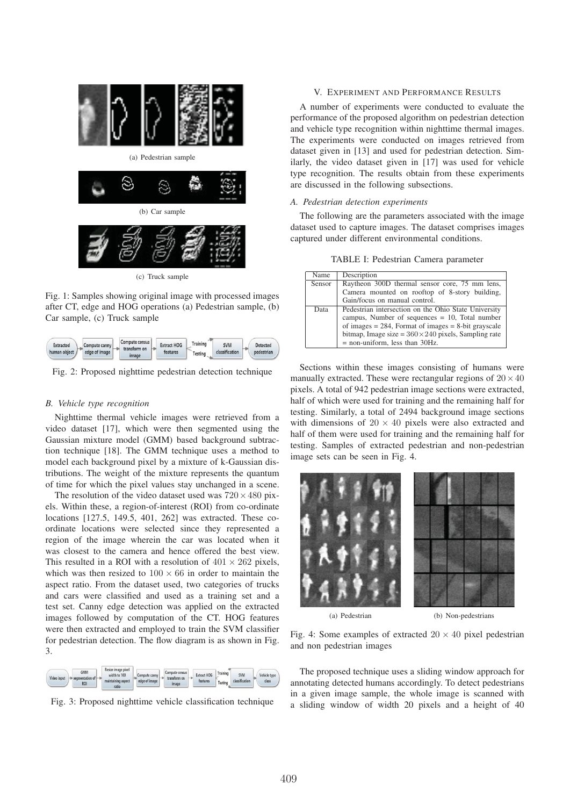

Fig. 1: Samples showing original image with processed images after CT, edge and HOG operations (a) Pedestrian sample, (b) Car sample, (c) Truck sample



Fig. 2: Proposed nighttime pedestrian detection technique

# *B. Vehicle type recognition*

Nighttime thermal vehicle images were retrieved from a video dataset [17], which were then segmented using the Gaussian mixture model (GMM) based background subtraction technique [18]. The GMM technique uses a method to model each background pixel by a mixture of k-Gaussian distributions. The weight of the mixture represents the quantum of time for which the pixel values stay unchanged in a scene.

The resolution of the video dataset used was  $720 \times 480$  pixels. Within these, a region-of-interest (ROI) from co-ordinate locations [127.5, 149.5, 401, 262] was extracted. These coordinate locations were selected since they represented a region of the image wherein the car was located when it was closest to the camera and hence offered the best view. This resulted in a ROI with a resolution of  $401 \times 262$  pixels, which was then resized to  $100 \times 66$  in order to maintain the aspect ratio. From the dataset used, two categories of trucks and cars were classified and used as a training set and a test set. Canny edge detection was applied on the extracted images followed by computation of the CT. HOG features were then extracted and employed to train the SVM classifier for pedestrian detection. The flow diagram is as shown in Fig. 3.

| Video input | <b>GMM</b><br>seamentation of<br><b>ROI</b> | Resize image pixel<br>width to 100<br>maintaining aspect<br>ratio | Compute canny<br>edge of image | Compute census<br>transform on<br>image |  | <b>Extract HOG</b><br>features | Training<br>Testing | SVM<br>classification |  | Vehicle type<br>class |
|-------------|---------------------------------------------|-------------------------------------------------------------------|--------------------------------|-----------------------------------------|--|--------------------------------|---------------------|-----------------------|--|-----------------------|
|-------------|---------------------------------------------|-------------------------------------------------------------------|--------------------------------|-----------------------------------------|--|--------------------------------|---------------------|-----------------------|--|-----------------------|

Fig. 3: Proposed nighttime vehicle classification technique

## V. EXPERIMENT AND PERFORMANCE RESULTS

A number of experiments were conducted to evaluate the performance of the proposed algorithm on pedestrian detection and vehicle type recognition within nighttime thermal images. The experiments were conducted on images retrieved from dataset given in [13] and used for pedestrian detection. Similarly, the video dataset given in [17] was used for vehicle type recognition. The results obtain from these experiments are discussed in the following subsections.

#### *A. Pedestrian detection experiments*

The following are the parameters associated with the image dataset used to capture images. The dataset comprises images captured under different environmental conditions.

TABLE I: Pedestrian Camera parameter

| Name   | Description                                                 |  |  |  |  |  |
|--------|-------------------------------------------------------------|--|--|--|--|--|
| Sensor | Raytheon 300D thermal sensor core, 75 mm lens,              |  |  |  |  |  |
|        | Camera mounted on rooftop of 8-story building,              |  |  |  |  |  |
|        | Gain/focus on manual control.                               |  |  |  |  |  |
| Data   | Pedestrian intersection on the Ohio State University        |  |  |  |  |  |
|        | campus, Number of sequences $= 10$ , Total number           |  |  |  |  |  |
|        | of images $= 284$ , Format of images $= 8$ -bit grayscale   |  |  |  |  |  |
|        | bitmap, Image size = $360 \times 240$ pixels, Sampling rate |  |  |  |  |  |
|        | $=$ non-uniform, less than 30Hz.                            |  |  |  |  |  |

Sections within these images consisting of humans were manually extracted. These were rectangular regions of  $20 \times 40$ pixels. A total of 942 pedestrian image sections were extracted, half of which were used for training and the remaining half for testing. Similarly, a total of 2494 background image sections with dimensions of  $20 \times 40$  pixels were also extracted and half of them were used for training and the remaining half for testing. Samples of extracted pedestrian and non-pedestrian image sets can be seen in Fig. 4.



(a) Pedestrian (b) Non-pedestrians

Fig. 4: Some examples of extracted  $20 \times 40$  pixel pedestrian and non pedestrian images

The proposed technique uses a sliding window approach for annotating detected humans accordingly. To detect pedestrians in a given image sample, the whole image is scanned with a sliding window of width 20 pixels and a height of 40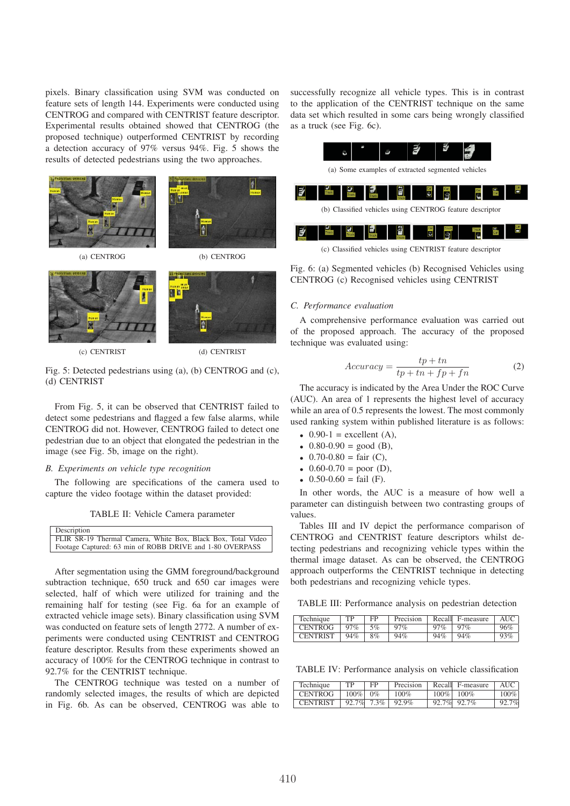pixels. Binary classification using SVM was conducted on feature sets of length 144. Experiments were conducted using CENTROG and compared with CENTRIST feature descriptor. Experimental results obtained showed that CENTROG (the proposed technique) outperformed CENTRIST by recording a detection accuracy of 97% versus 94%. Fig. 5 shows the results of detected pedestrians using the two approaches.





(a) CENTROG (b) CENTROG



Fig. 5: Detected pedestrians using (a), (b) CENTROG and (c), (d) CENTRIST

From Fig. 5, it can be observed that CENTRIST failed to detect some pedestrians and flagged a few false alarms, while CENTROG did not. However, CENTROG failed to detect one pedestrian due to an object that elongated the pedestrian in the image (see Fig. 5b, image on the right).

## *B. Experiments on vehicle type recognition*

The following are specifications of the camera used to capture the video footage within the dataset provided:

TABLE II: Vehicle Camera parameter



After segmentation using the GMM foreground/background subtraction technique, 650 truck and 650 car images were selected, half of which were utilized for training and the remaining half for testing (see Fig. 6a for an example of extracted vehicle image sets). Binary classification using SVM was conducted on feature sets of length 2772. A number of experiments were conducted using CENTRIST and CENTROG feature descriptor. Results from these experiments showed an accuracy of 100% for the CENTROG technique in contrast to 92.7% for the CENTRIST technique.

The CENTROG technique was tested on a number of randomly selected images, the results of which are depicted in Fig. 6b. As can be observed, CENTROG was able to successfully recognize all vehicle types. This is in contrast to the application of the CENTRIST technique on the same data set which resulted in some cars being wrongly classified as a truck (see Fig. 6c).



(c) Classified vehicles using CENTRIST feature descriptor

Fig. 6: (a) Segmented vehicles (b) Recognised Vehicles using CENTROG (c) Recognised vehicles using CENTRIST

#### *C. Performance evaluation*

A comprehensive performance evaluation was carried out of the proposed approach. The accuracy of the proposed technique was evaluated using:

$$
Accuracy = \frac{tp + tn}{tp + tn + fp + fn}
$$
 (2)

The accuracy is indicated by the Area Under the ROC Curve (AUC). An area of 1 represents the highest level of accuracy while an area of 0.5 represents the lowest. The most commonly used ranking system within published literature is as follows:

- $0.90-1$  = excellent (A),
- $0.80 0.90 = \text{good } (B)$ ,
- $0.70 0.80 = \text{fair (C)},$
- $0.60 0.70 =$  poor (D),
- $0.50 0.60 = \text{fail (F)}$ .

In other words, the AUC is a measure of how well a parameter can distinguish between two contrasting groups of values.

Tables III and IV depict the performance comparison of CENTROG and CENTRIST feature descriptors whilst detecting pedestrians and recognizing vehicle types within the thermal image dataset. As can be observed, the CENTROG approach outperforms the CENTRIST technique in detecting both pedestrians and recognizing vehicle types.

TABLE III: Performance analysis on pedestrian detection

| Technique       | TР  | FP | Precision | Recall | F-measure | AUC |
|-----------------|-----|----|-----------|--------|-----------|-----|
| <b>CENTROG</b>  | 97% | 5% | 97%       | 97%    | 97%       | 96% |
| <b>CENTRIST</b> | 94% | 8% | 94%       | 94%    | 94%       | 93% |

TABLE IV: Performance analysis on vehicle classification

| Technique       | TP          | FP | Precision           | Recall F-measure | AUC.    |
|-----------------|-------------|----|---------------------|------------------|---------|
| CENTROG         | $100\%$ 0\% |    | $100\%$             | $100\%$ 100\%    | $100\%$ |
| <b>CENTRIST</b> |             |    | $92.7\%$ 7.3% 92.9% | 92.7% 92.7%      | 92.7%   |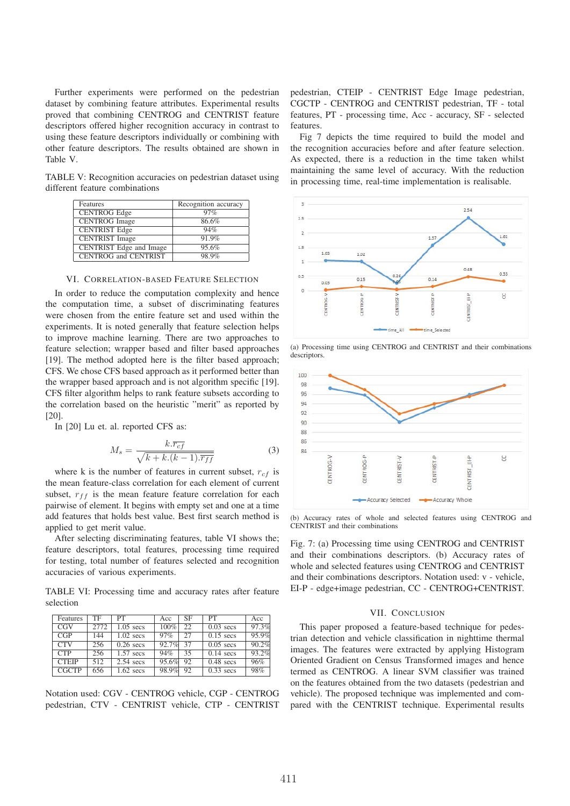Further experiments were performed on the pedestrian dataset by combining feature attributes. Experimental results proved that combining CENTROG and CENTRIST feature descriptors offered higher recognition accuracy in contrast to using these feature descriptors individually or combining with other feature descriptors. The results obtained are shown in Table V.

TABLE V: Recognition accuracies on pedestrian dataset using different feature combinations

| Features                           | Recognition accuracy |
|------------------------------------|----------------------|
| <b>CENTROG</b> Edge                | 97%                  |
| <b>CENTROG</b> Image               | 86.6%                |
| <b>CENTRIST Edge</b>               | 94%                  |
| <b>CENTRIST</b> Image              | 91.9%                |
| <b>CENTRIST Edge and Image</b>     | 95.6%                |
| <b>CENTROG</b> and <b>CENTRIST</b> | 98.9%                |

## VI. CORRELATION-BASED FEATURE SELECTION

In order to reduce the computation complexity and hence the computation time, a subset of discriminating features were chosen from the entire feature set and used within the experiments. It is noted generally that feature selection helps to improve machine learning. There are two approaches to feature selection; wrapper based and filter based approaches [19]. The method adopted here is the filter based approach; CFS. We chose CFS based approach as it performed better than the wrapper based approach and is not algorithm specific [19]. CFS filter algorithm helps to rank feature subsets according to the correlation based on the heuristic "merit" as reported by [20].

In [20] Lu et. al. reported CFS as:

$$
M_s = \frac{k.\overline{r_{cf}}}{\sqrt{k + k.(k - 1).\overline{r_{ff}}}}
$$
(3)

where k is the number of features in current subset,  $r_{cf}$  is the mean feature-class correlation for each element of current subset,  $r_{ff}$  is the mean feature feature correlation for each pairwise of element. It begins with empty set and one at a time add features that holds best value. Best first search method is applied to get merit value.

After selecting discriminating features, table VI shows the; feature descriptors, total features, processing time required for testing, total number of features selected and recognition accuracies of various experiments.

TABLE VI: Processing time and accuracy rates after feature selection

| Features     | TF   | <b>PT</b>   | Acc   | <b>SF</b> | PT                     | Acc   |
|--------------|------|-------------|-------|-----------|------------------------|-------|
| <b>CGV</b>   | 2772 | $1.05$ secs | 100%  | 22        | $0.03$ secs            | 97.3% |
| CGP          | 144  | $1.02$ secs | 97%   | 27        | $0.15$ secs            | 95.9% |
| <b>CTV</b>   | 256  | $0.26$ secs | 92.7% | 37        | $\overline{0.05}$ secs | 90.2% |
| <b>CTP</b>   | 256  | $1.57$ secs | 94%   | 35        | $0.14$ secs            | 93.2% |
| <b>CTEIP</b> | 512  | $2.54$ secs | 95.6% | 92        | $0.48$ secs            | 96%   |
| <b>CGCTP</b> | 656  | $1.62$ secs | 98.9% | 92        | $0.33$ secs            | 98%   |

Notation used: CGV - CENTROG vehicle, CGP - CENTROG pedestrian, CTV - CENTRIST vehicle, CTP - CENTRIST

pedestrian, CTEIP - CENTRIST Edge Image pedestrian, CGCTP - CENTROG and CENTRIST pedestrian, TF - total features, PT - processing time, Acc - accuracy, SF - selected features.

Fig 7 depicts the time required to build the model and the recognition accuracies before and after feature selection. As expected, there is a reduction in the time taken whilst maintaining the same level of accuracy. With the reduction in processing time, real-time implementation is realisable.



(a) Processing time using CENTROG and CENTRIST and their combinations descriptors.



(b) Accuracy rates of whole and selected features using CENTROG and CENTRIST and their combinations

Fig. 7: (a) Processing time using CENTROG and CENTRIST and their combinations descriptors. (b) Accuracy rates of whole and selected features using CENTROG and CENTRIST and their combinations descriptors. Notation used: v - vehicle, EI-P - edge+image pedestrian, CC - CENTROG+CENTRIST.

# VII. CONCLUSION

This paper proposed a feature-based technique for pedestrian detection and vehicle classification in nighttime thermal images. The features were extracted by applying Histogram Oriented Gradient on Census Transformed images and hence termed as CENTROG. A linear SVM classifier was trained on the features obtained from the two datasets (pedestrian and vehicle). The proposed technique was implemented and compared with the CENTRIST technique. Experimental results